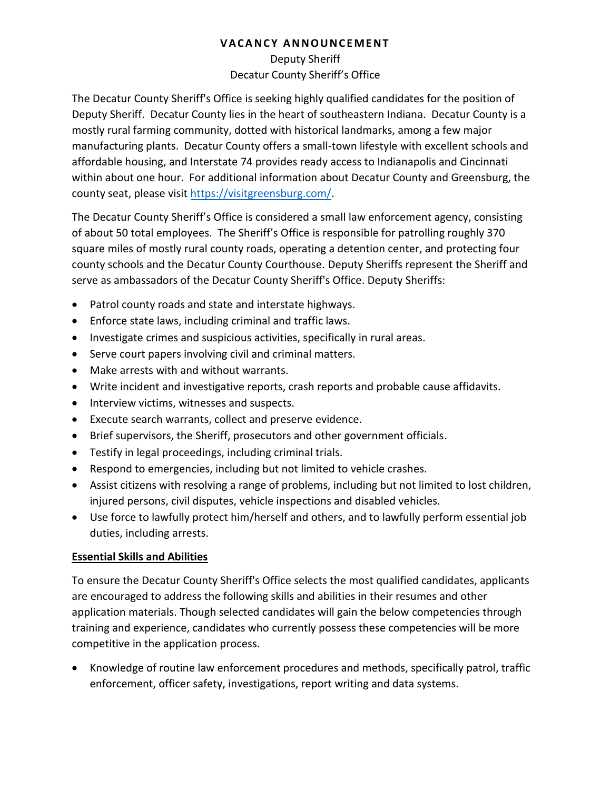# Deputy Sheriff Decatur County Sheriff's Office

The Decatur County Sheriff's Office is seeking highly qualified candidates for the position of Deputy Sheriff. Decatur County lies in the heart of southeastern Indiana. Decatur County is a mostly rural farming community, dotted with historical landmarks, among a few major manufacturing plants. Decatur County offers a small-town lifestyle with excellent schools and affordable housing, and Interstate 74 provides ready access to Indianapolis and Cincinnati within about one hour. For additional information about Decatur County and Greensburg, the county seat, please visit [https://visitgreensburg.com/.](https://visitgreensburg.com/)

The Decatur County Sheriff's Office is considered a small law enforcement agency, consisting of about 50 total employees. The Sheriff's Office is responsible for patrolling roughly 370 square miles of mostly rural county roads, operating a detention center, and protecting four county schools and the Decatur County Courthouse. Deputy Sheriffs represent the Sheriff and serve as ambassadors of the Decatur County Sheriff's Office. Deputy Sheriffs:

- Patrol county roads and state and interstate highways.
- Enforce state laws, including criminal and traffic laws.
- Investigate crimes and suspicious activities, specifically in rural areas.
- Serve court papers involving civil and criminal matters.
- Make arrests with and without warrants.
- Write incident and investigative reports, crash reports and probable cause affidavits.
- Interview victims, witnesses and suspects.
- Execute search warrants, collect and preserve evidence.
- Brief supervisors, the Sheriff, prosecutors and other government officials.
- Testify in legal proceedings, including criminal trials.
- Respond to emergencies, including but not limited to vehicle crashes.
- Assist citizens with resolving a range of problems, including but not limited to lost children, injured persons, civil disputes, vehicle inspections and disabled vehicles.
- Use force to lawfully protect him/herself and others, and to lawfully perform essential job duties, including arrests.

# **Essential Skills and Abilities**

To ensure the Decatur County Sheriff's Office selects the most qualified candidates, applicants are encouraged to address the following skills and abilities in their resumes and other application materials. Though selected candidates will gain the below competencies through training and experience, candidates who currently possess these competencies will be more competitive in the application process.

• Knowledge of routine law enforcement procedures and methods, specifically patrol, traffic enforcement, officer safety, investigations, report writing and data systems.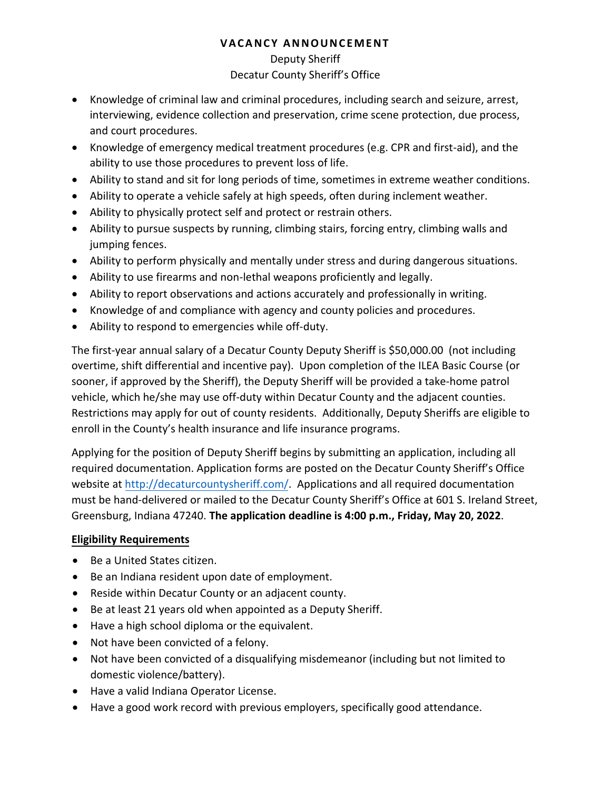#### Deputy Sheriff

#### Decatur County Sheriff's Office

- Knowledge of criminal law and criminal procedures, including search and seizure, arrest, interviewing, evidence collection and preservation, crime scene protection, due process, and court procedures.
- Knowledge of emergency medical treatment procedures (e.g. CPR and first-aid), and the ability to use those procedures to prevent loss of life.
- Ability to stand and sit for long periods of time, sometimes in extreme weather conditions.
- Ability to operate a vehicle safely at high speeds, often during inclement weather.
- Ability to physically protect self and protect or restrain others.
- Ability to pursue suspects by running, climbing stairs, forcing entry, climbing walls and jumping fences.
- Ability to perform physically and mentally under stress and during dangerous situations.
- Ability to use firearms and non-lethal weapons proficiently and legally.
- Ability to report observations and actions accurately and professionally in writing.
- Knowledge of and compliance with agency and county policies and procedures.
- Ability to respond to emergencies while off-duty.

The first-year annual salary of a Decatur County Deputy Sheriff is \$50,000.00 (not including overtime, shift differential and incentive pay). Upon completion of the ILEA Basic Course (or sooner, if approved by the Sheriff), the Deputy Sheriff will be provided a take-home patrol vehicle, which he/she may use off-duty within Decatur County and the adjacent counties. Restrictions may apply for out of county residents. Additionally, Deputy Sheriffs are eligible to enroll in the County's health insurance and life insurance programs.

Applying for the position of Deputy Sheriff begins by submitting an application, including all required documentation. Application forms are posted on the Decatur County Sheriff's Office website at [http://decaturcountysheriff.com/.](http://decaturcountysheriff.com/) Applications and all required documentation must be hand-delivered or mailed to the Decatur County Sheriff's Office at 601 S. Ireland Street, Greensburg, Indiana 47240. **The application deadline is 4:00 p.m., Friday, May 20, 2022**.

# **Eligibility Requirements**

- Be a United States citizen.
- Be an Indiana resident upon date of employment.
- Reside within Decatur County or an adjacent county.
- Be at least 21 years old when appointed as a Deputy Sheriff.
- Have a high school diploma or the equivalent.
- Not have been convicted of a felony.
- Not have been convicted of a disqualifying misdemeanor (including but not limited to domestic violence/battery).
- Have a valid Indiana Operator License.
- Have a good work record with previous employers, specifically good attendance.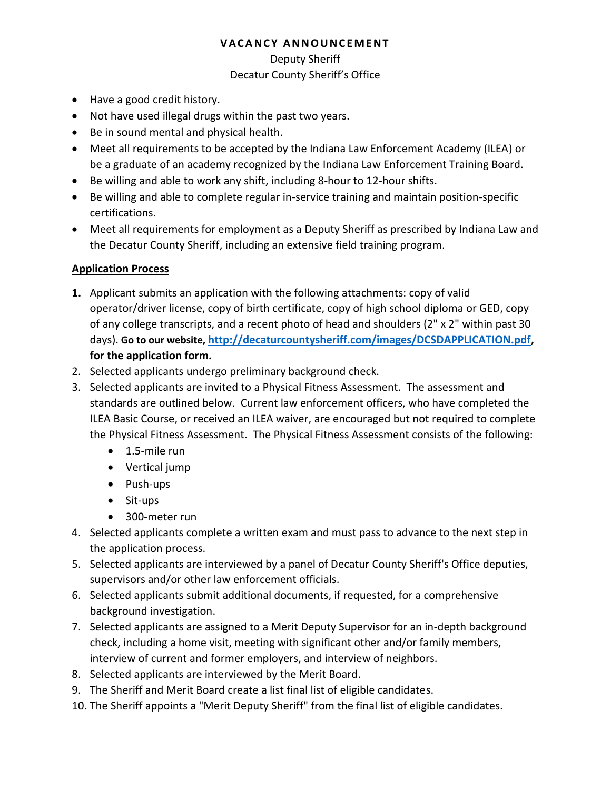#### Deputy Sheriff

# Decatur County Sheriff's Office

- Have a good credit history.
- Not have used illegal drugs within the past two years.
- Be in sound mental and physical health.
- Meet all requirements to be accepted by the Indiana Law Enforcement Academy (ILEA) or be a graduate of an academy recognized by the Indiana Law Enforcement Training Board.
- Be willing and able to work any shift, including 8-hour to 12-hour shifts.
- Be willing and able to complete regular in-service training and maintain position-specific certifications.
- Meet all requirements for employment as a Deputy Sheriff as prescribed by Indiana Law and the Decatur County Sheriff, including an extensive field training program.

# **Application Process**

- **1.** Applicant submits an application with the following attachments: copy of valid operator/driver license, copy of birth certificate, copy of high school diploma or GED, copy of any college transcripts, and a recent photo of head and shoulders (2" x 2" within past 30 days). **Go to our website, [http://decaturcountysheriff.com/images/DCSDAPPLICATION.pdf,](http://decaturcountysheriff.com/images/DCSDAPPLICATION.pdf) for the application form.**
- 2. Selected applicants undergo preliminary background check.
- 3. Selected applicants are invited to a Physical Fitness Assessment. The assessment and standards are outlined below. Current law enforcement officers, who have completed the ILEA Basic Course, or received an ILEA waiver, are encouraged but not required to complete the Physical Fitness Assessment. The Physical Fitness Assessment consists of the following:
	- 1.5-mile run
	- Vertical jump
	- Push-ups
	- Sit-ups
	- 300-meter run
- 4. Selected applicants complete a written exam and must pass to advance to the next step in the application process.
- 5. Selected applicants are interviewed by a panel of Decatur County Sheriff's Office deputies, supervisors and/or other law enforcement officials.
- 6. Selected applicants submit additional documents, if requested, for a comprehensive background investigation.
- 7. Selected applicants are assigned to a Merit Deputy Supervisor for an in-depth background check, including a home visit, meeting with significant other and/or family members, interview of current and former employers, and interview of neighbors.
- 8. Selected applicants are interviewed by the Merit Board.
- 9. The Sheriff and Merit Board create a list final list of eligible candidates.
- 10. The Sheriff appoints a "Merit Deputy Sheriff" from the final list of eligible candidates.